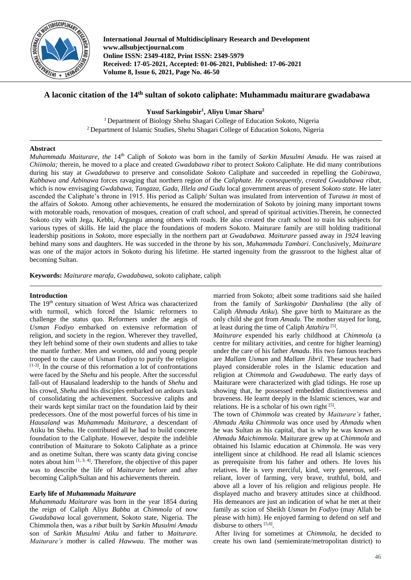

**International Journal of Multidisciplinary Research and Development www.allsubjectjournal.com Online ISSN: 2349-4182, Print ISSN: 2349-5979 Received: 17-05-2021, Accepted: 01-06-2021, Published: 17-06-2021 Volume 8, Issue 6, 2021, Page No. 46-50**

# **A laconic citation of the 14th sultan of sokoto caliphate: Muhammadu maiturare gwadabawa**

**Yusuf Sarkingobir<sup>1</sup> , Aliyu Umar Sharu<sup>2</sup>**

<sup>1</sup> Department of Biology Shehu Shagari College of Education Sokoto, Nigeria <sup>2</sup>Department of Islamic Studies, Shehu Shagari College of Education Sokoto, Nigeria

# **Abstract**

*Muhammadu Maiturare, the 14<sup>th</sup> Caliph of <i>Sokoto* was born in the family of *Sarkin Musulmi Amadu*. He was raised at *Chiimola;* therein, he moved to a place and created *Gwadabawa ribat* to protect *Sokoto* Caliphate*.* He did many contributions during his stay at *Gwadabawa* to preserve and consolidate *Sokoto* Caliphate and succeeded in repelling the *Gobirawa, Kabbawa and Azbinawa* forces ravaging that northern region of the *Caliphate. He consequently, created Gwadabawa ribat,*  which is now envisaging *Gwdabawa, Tangaza, Gada, Illela and Gudu* local government areas of present *Sokoto state.* He later ascended the Caliphate's throne in 1915. His period as Caliph/ Sultan was insulated from intervention of *Turawa in* most of the affairs of *Sokoto*. Among other achievements, he ensured the modernization of Sokoto by joining many important towns with motorable roads, renovation of mosques, creation of craft school, and spread of spiritual activities.Therein, he connected Sokoto city with Jega, Kebbi, Argungu among others with roads. He also created the craft school to train his subjects for various types of skills. He laid the place the foundations of modern Sokoto. Maiturare family are still holding traditional leadership positions in *Sokoto,* more especially in the northern part *at Gwadabawa. Maiturare* passed away in *1924* leaving behind many sons and daughters. He was succeded in the throne by his son*, Muhammadu Tambari.* Conclusively*, Maiturare*  was one of the major actors in Sokoto during his lifetime. He started ingenuity from the grassroot to the highest altar of becoming Sultan*.*

**Keywords:** *Maiturare marafa, Gwadabawa*, sokoto caliphate, caliph

# **Introduction**

The 19<sup>th</sup> century situation of West Africa was characterized with turmoil, which forced the Islamic reformers to challenge the status quo. Reformers under the aegis of *Usman Fodiyo* embarked on extensive reformation of religion, and society in the region. Wherever they travelled, they left behind some of their own students and allies to take the mantle further. Men and women, old and young people trooped to the cause of Usman Fodiyo to purify the religion [1-3] . In the course of this reformation a lot of confrontations were faced by the *Shehu* and his people. After the successful fall-out of Hausaland leadership to the hands of *Shehu* and his crowd, *Shehu* and his disciples embarked on ardours task of consolidating the achievement. Successive caliphs and their wards kept similar tract on the foundation laid by their predecessors. One of the most powerful forces of his time in *Hausaland* was *Muhammadu Maiturare*, a descendant of Atiku bn Shehu. He contributed all he had to build concrete foundation to the Caliphate. However, despite the indelible contribution of Maiturare to Sokoto Caliphate as a prince and as onetime Sultan, there was scanty data giving concise notes about him  $[1, 3, 4]$ . Therefore, the objective of this paper was to describe the life of *Maiturare* before and after becoming Caliph/Sultan and his achievements therein*.*

# **Early life of** *Muhammadu Maiturare*

*Muhammadu Maiturare* was born in the year 1854 during the reign of Caliph Aliyu *Babba* at *Chimmola* of now *Gwadabawa* local government, Sokoto state, Nigeria. The Chimmola then, was a *ribat* built by *Sarkin Musulmi Amadu* son of *Sarkin Musulmi Atiku* and father to *Maiturare*. *Maiturare's* mother is called *Hawwau*. The mother was married from Sokoto; albeit some traditions said she hailed from the family of *Sarkingobir Danhalima* (the ally of Caliph *Ahmadu Atiku*). She gave birth to Maiturare as the only child she got from *Amadu*. The mother stayed for long, at least during the time of Caliph *Attahiru* [5] .

*Maiturare* expended his early childhood at *Chimmola* (a centre for military activities, and centre for higher learning) under the care of his father *Amadu*. His two famous teachers are *Mallam Usman* and *Mallam Jibril*. These teachers had played considerable roles in the Islamic education and religion at *Chimmola* and *Gwadabawa*. The early days of Maiturare were characterized with glad tidings. He rose up showing that, he possessed embedded distinctiveness and braveness. He learnt deeply in the Islamic sciences, war and relations. He is a scholar of his own right [5].

The town of *Chimmola* was created by *Maiturare's* father, *Ahmadu Atiku Chimmola* was once used by *Ahmadu* when he was Sultan as his capital, that is why he was known as *Ahmadu Maichimmola*. Maiturare grew up at *Chimmola* and obtained his Islamic education at *Chimmola*. He was very intelligent since at childhood. He read all Islamic sciences as prerequisite from his father and others. He loves his relatives. He is very merciful, kind, very generous, selfreliant, lover of farming, very brave, truthful, bold, and above all a lover of his religion and religious people. He displayed macho and bravery attitudes since at childhood. His demeanors are just an indication of what he met at their family as scion of Sheikh *Usman bn Fodiyo* (may Allah be please with him). He enjoyed farming to defend on self and disburse to others [5,6].

After living for sometimes at *Chimmola*, he decided to create his own land (semiemirate/metropolitan district) to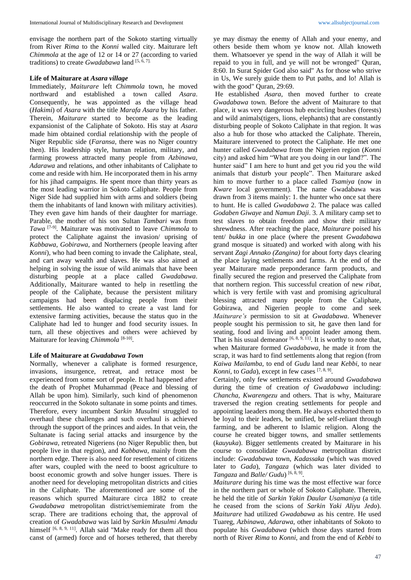envisage the northern part of the Sokoto starting virtually from River *Rima* to the *Konni* walled city. Maiturare left *Chimmola* at the age of 12 or 14 or 27 (according to varied traditions) to create *Gwadabawa* land [5, 6, 7].

#### **Life of Maiturare at** *Asara village*

Immediately, *Maiturare* left *Chimmola* town, he moved northward and established a town called *Asara*. Consequently, he was appointed as the village head (*Hakimi*) of *Asara* with the title *Marafa Asara* by his father. Therein, *Maiturare* started to become as the leading expansionist of the Caliphate of Sokoto. His stay at *Asara* made him obtained cordial relationship with the people of Niger Republic side (*Faransa*, there was no Niger country then). His leadership style, human relation, military, and farming prowess attracted many people from *Azbinawa*, *Adarawa* and relations, and other inhabitants of Caliphate to come and reside with him. He incorporated them in his army for his jihad campaigns. He spent more than thirty years as the most leading warrior in Sokoto Caliphate. People from Niger Side had supplied him with arms and soldiers (being them the inhabitants of land known with military activities). They even gave him hands of their daughter for marriage. Parable, the mother of his son Sultan *Tambari* was from *Tawa* [7-9]. Maiturare was motivated to leave *Chimmola* to protect the Caliphate against the invasion/ uprising of *Kabbawa*, *Gobirawa*, and Northerners (people leaving after *Konni*), who had been coming to invade the Caliphate, steal, and cart away wealth and slaves. He was also aimed at helping in solving the issue of wild animals that have been disturbing people at a place called *Gwadabawa*. Additionally, Maiturare wanted to help in resettling the people of the Caliphate, because the persistent military campaigns had been displacing people from their settlements. He also wanted to create a vast land for extensive farming activities, because the status quo in the Caliphate had led to hunger and food security issues. In turn, all these objectives and others were achieved by Maiturare for leaving *Chimmola*<sup>[8-10]</sup>.

# **Life of Maiturare at** *Gwadabawa Town*

Normally, whenever a caliphate is formed resurgence, invasions, insurgence, retreat, and retrace most be experienced from some sort of people. It had happened after the death of Prophet Muhammad (Peace and blessing of Allah be upon him). Similarly, such kind of phenomenon reoccurred in the Sokoto sultanate in some points and times. Therefore, every incumbent *Sarkin Musulmi* struggled to overhaul these challenges and such overhaul is achieved through the support of the princes and aides. In that vein, the Sultanate is facing serial attacks and insurgence by the *Gobirawa*, retreated Nigeriens (no Niger Republic then, but people live in that region), and *Kabbawa*, mainly from the northern edge. There is also need for resettlement of citizens after wars, coupled with the need to boost agriculture to boost economic growth and solve hunger issues. There is another need for developing metropolitan districts and cities in the Caliphate. The aforementioned are some of the reasons which spurred Maiturare circa 1882 to create *Gwadabawa* metropolitan district/semiemirate from the scrap. There are traditions echoing that, the approval of creation of *Gwadabawa* was laid by *Sarkin Musulmi Amadu* himself [6, 8, 9, 11]. Allah said "Make ready for them all thou canst of (armed) force and of horses tethered, that thereby

ye may dismay the enemy of Allah and your enemy, and others beside them whom ye know not. Allah knoweth them. Whatsoever ye spend in the way of Allah it will be repaid to you in full, and ye will not be wronged" Quran, 8:60. In Surat Spider God also said" As for those who strive in Us, We surely guide them to Put paths, and lo! Allah is with the good" Quran, 29:69.

He established *Asara*, then moved further to create *Gwadabawa* town. Before the advent of Maiturare to that place, it was very dangerous hub encircling bushes (forests) and wild animals(tigers, lions, elephants) that are constantly disturbing people of Sokoto Caliphate in that region. It was also a hub for those who attacked the Caliphate. Therein, Maiturare intervened to protect the Caliphate. He met one hunter called *Gwadabawa* from the Nigerien region (*Konni* city) and asked him "What are you doing in our land?". The hunter said" I am here to hunt and get you rid you the wild animals that disturb your people". Then Maiturare asked him to move further to a place called *Tsamiya* (now in *Kware* local government). The name Gwadabawa was drawn from 3 items mainly: 1. the hunter who once sat there to hunt. He is called *Gwadabawa* 2. The palace was called *Godaben Giwaye* and *Namun Daji*. 3. A military camp set to test slaves to obtain freedom and show their military shrewdness. After reaching the place, *Maiturare* poised his tent/ *bukka* in one place (where the present *Gwadabawa* grand mosque is situated) and worked with along with his servant *Zagi Annako (Zangina)* for about forty days clearing the place laying settlements and farms. At the end of the year Maiturare made preponderance farm products, and finally secured the region and preserved the Caliphate from that northern region. This successful creation of new *ribat*, which is very fertile with vast and promising agricultural blessing attracted many people from the Caliphate, Gobirawa, and Nigerien people to come and seek *Maiturare's* permission to sit at *Gwadabawa*. Whenever people sought his permission to sit, he gave then land for seating, food and living and appoint leader among them. That is his usual demeanor  $[6, 8, 9, 11]$ . It is worthy to note that, when Maiturare formed *Gwadabawa*, he made it from the scrap, it was hard to find settlements along that region (from *Kaiwa Mailamba*, to end of *Gudu* land near *Kebbi*, to near Konni, to *Gada*), except in few cases [7, 8, 9].

Certainly, only few settlements existed around *Gwadabawa*  during the time of creation *of Gwadabawa* including: *Chancha, Kwarengezu* and others. That is why, Maiturare traversed the region creating settlements for people and appointing laeaders mong them. He always exhorted them to be loyal to their leaders, be unified, be self-reliant through farming, and be adherent to Islamic religion. Along the course he created bigger towns, and smaller settlements (*kauyuka*). Bigger settlements created by Maiturare in his course to consolidate *Gwadabawa* metropolitan district include: *Gwadabawa* town, *Kadassaka* (which was moved later to *Gada*), *Tangaza* (which was later divided to Tangaza and *Balle/ Gudu*)<sup>[6, 8, 9]</sup>.

*Maiturare* during his time was the most effective war force in the northern part or whole of Sokoto Caliphate. Therein, he held the title of *Sarkin Yakin Daular Usamaniya* (a title he ceased from the scions of *Sarkin Yaki Aliyu Jedo*). *Maiturare* had utilized *Gwadabawa* as his centre. He used Tuareg, *Azbinawa*, *Adarawa*, other inhabitants of Sokoto to populate his *Gwadabawa* (which those days started from north of River *Rima* to *Konni*, and from the end of *Kebbi* to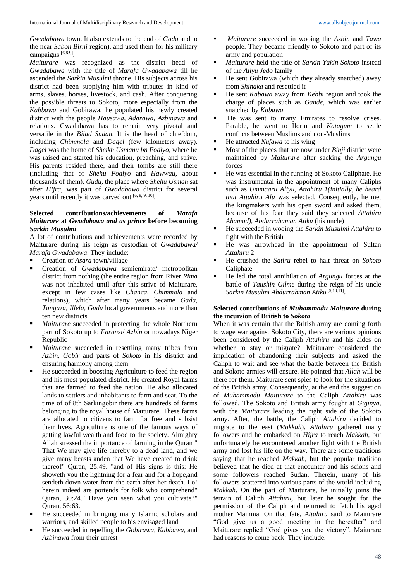*Gwadabawa* town. It also extends to the end of *Gada* and to the near *Sabon Birni* region), and used them for his military campaigns [6,8,9].

*Maiturare* was recognized as the district head of *Gwadabawa* with the title of *Marafa Gwadabawa* till he ascended the *Sarkin Musulmi* throne. His subjects across his district had been supplying him with tributes in kind of arms, slaves, horses, livestock, and cash. After conquering the possible threats to Sokoto, more especially from the *Kabbawa* and Gobirawa, he populated his newly created district with the people *Hausawa*, *Adarawa*, *Azbinawa* and relations. Gwadabawa has to remain very pivotal and versatile in the *Bilad Sudan*. It is the head of chiefdom, including *Chimmola* and *Dagel* (few kilometers away). *Dagel* was the home of *Sheikh Usmanu bn Fodiyo*, where he was raised and started his education, preaching, and strive. His parents resided there, and their tombs are still there (including that of *Shehu Fodiyo* and *Hawwau*, about thousands of them). *Gudu*, the place where *Shehu Usman* sat after *Hijra*, was part of *Gwadabawa* district for several years until recently it was carved out  $[6, 8, 9, 10]$ .

# **Selected contributions/achievements of** *Marafa Maiturare* **at** *Gwadabawa and as prince* **before becoming** *Sarkin Musulmi*

A lot of contributions and achievements were recorded by Maiturare during his reign as custodian of *Gwadabawa/ Marafa Gwadabawa*. They include:

- Creation of *Asara* town/village
- Creation of *Gwadabawa* semiemirate/ metropolitan district from nothing (the entire region from River *Rima* was not inhabited until after this strive of Maiturare, except in few cases like *Chanca*, *Chimmola* and relations), which after many years became *Gada, Tangaza, Illela, Gudu* local governments and more than ten new districts
- *Maiturare* succeeded in protecting the whole Northern part of Sokoto up to *Faransi*/ *Azbin* or nowadays Niger Republic
- *Maiturare* succeeded in resettling many tribes from *Azbin*, *Gobir* and parts of *Sokoto* in his district and ensuring harmony among them
- He succeeded in boosting Agriculture to feed the region and his most populated district. He created Royal farms that are farmed to feed the nation. He also allocated lands to settlers and inhabitants to farm and seat. To the time of of 8th Sarkingobir there are hundreds of farms belonging to the royal house of Maiturare. These farms are allocated to citizens to farm for free and subsist their lives. Agriculture is one of the famous ways of getting lawful wealth and food to the society. Almighty Allah stressed the importance of farming in the Quran " That We may give life thereby to a dead land, and we give many beasts anden that We have created to drink thereof" Quran, 25:49. "and of His signs is this: He showeth you the lightning for a fear and for a hope,and sendeth down water from the earth after her death. Lo! herein indeed are portends for folk who comprehend" Quran, 30:24." Have you seen what you cultivate?" Quran, 56:63.
- He succeeded in bringing many Islamic scholars and warriors, and skilled people to his envisaged land
- He succeeded in repelling the *Gobirawa*, *Kabbawa*, and *Azbinawa* from their unrest
- *Maiturare* succeeded in wooing the *Azbin* and *Tawa* people. They became friendly to Sokoto and part of its army and population
- *Maiturare* held the title of *Sarkin Yakin Sokoto* instead of the *Aliyu Jedo* family
- He sent Gobirawa (which they already snatched) away from *Shinaka* and resettled it
- He sent *Kabawa* away from *Kebbi* region and took the charge of places such as *Gande*, which was earlier snatched by *Kabawa*
- He was sent to many Emirates to resolve crises. Parable, he went to Ilorin and *Katagum* to settle conflicts between Muslims and non-Muslims
- He attracted *Nufawa* to his wing
- Most of the places that are now under *Binji* district were maintained by *Maiturare* after sacking the *Argungu*  forces
- He was essential in the running of Sokoto Caliphate. He was instrumental in the appointment of many Caliphs such as *Ummaaru Aliyu, Attahiru 1(initially, he heard that Attahiru Alu* was selected*.* Consequently, he met the kingmakers with his open sword and asked them, because of his fear they said they selected *Attahiru Ahamad), Abdurrahaman Atiku* (his uncle)
- He succeeded in wooing the *Sarkin Musulmi Attahiru* to fight with the British
- He was arrowhead in the appointment of Sultan *Attahiru* 2
- He crushed the *Satiru* rebel to halt threat on *Sokoto* Caliphate
- He led the total annihilation of *Argungu* forces at the battle of *Taushin Gilme* during the reign of his uncle Sarkin Musulmi Abdurrahman Atiku<sup>[5,10,11]</sup>.

### **Selected contributions of** *Muhammadu Maiturare* **during the incursion of British to** *Sokoto*

When it was certain that the British army are coming forth to wage war against Sokoto City, there are various opinions been considered by the Caliph *Attahiru* and his aides on whether to stay or migrate?. Maiturare considered the implication of abandoning their subjects and asked the Caliph to wait and see what the battle between the British and Sokoto armies will ensure. He pointed that *Allah* will be there for them. Maiturare sent spies to look for the situations of the British army. Consequently, at the end the suggestion of *Muhammadu Maiturare* to the Caliph *Attahiru* was followed. The Sokoto and British army fought at *Giginya*, with the *Maiturare* leading the right side of the Sokoto army. After, the battle, the Caliph *Attahiru* decided to migrate to the east (*Makkah*). *Attahiru* gathered many followers and he embarked on *Hijra* to reach *Makkah*, but unfortunately he encountered another fight with the British army and lost his life on the way. There are some traditions saying that he reached *Makkah*, but the popular tradition believed that he died at that encounter and his scions and some followers reached Sudan. Therein, many of his followers scattered into various parts of the world including *Makkah*. On the part of Maiturare, he initially joins the terrain of Caliph *Attahiru*, but later he sought for the permission of the Caliph and returned to fetch his aged mother Mamma. On that fate, *Attahiru* said to Maiturare "God give us a good meeting in the hereafter" and Maiturare replied "God gives you the victory". Maiturare had reasons to come back. They include: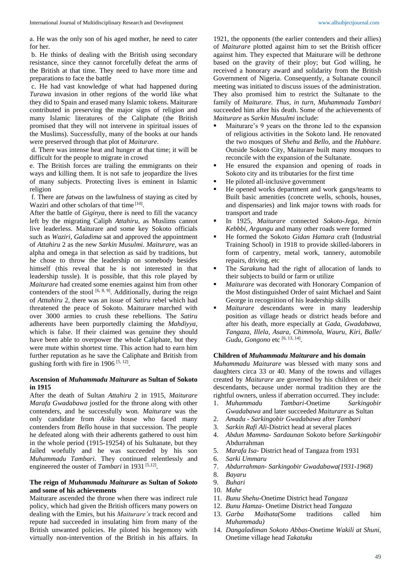a. He was the only son of his aged mother, he need to cater for her.

b. He thinks of dealing with the British using secondary resistance, since they cannot forcefully defeat the arms of the British at that time. They need to have more time and preparations to face the battle

c. He had vast knowledge of what had happened during *Turawa* invasion in other regions of the world like what they did to Spain and erased many Islamic tokens. Maiturare contributed in preserving the major signs of religion and many Islamic literatures of the Caliphate (the British promised that they will not intervene in spiritual issues of the Muslims). Successfully, many of the books at our hands were preserved through that plot of *Maiturare*.

d. There was intense heat and hunger at that time; it will be difficult for the people to migrate in crowd

e. The British forces are trailing the emmigrants on their ways and killing them. It is not safe to jeopardize the lives of many subjects. Protecting lives is eminent in Islamic religion

f. There are *fatwas* on the lawfulness of staying as cited by Waziri and other scholars of that time [10].

After the battle of *Giginya*, there is need to fill the vacancy left by the migrating Caliph *Attahiru*, as Muslims cannot live leaderless. Maiturare and some key Sokoto officials such as *Waziri*, *Galadima* sat and approved the appointment of *Attahiru* 2 as the new *Sarkin Musulmi*. *Maiturare*, was an alpha and omega in that selection as said by traditions, but he chose to throw the leadership on somebody besides himself (this reveal that he is not interested in that leadership tussle). It is possible, that this role played by *Maiturare* had created some enemies against him from other contenders of the stool  $[6, 8, 9]$ . Additionally, during the reign of *Atttahiru* 2, there was an issue of *Satiru* rebel which had threatened the peace of Sokoto. Maiturare marched with over 3000 armies to crush these rebellions. The *Satiru* adherents have been purportedly claiming the *Mahdiyya*, which is false. If their claimed was genuine they should have been able to overpower the whole Caliphate, but they were mute within shortest time. This action had to earn him further reputation as he save the Caliphate and British from gushing forth with fire in  $1906^{[5, 12]}$ .

## **Ascension of** *Muhammadu Maiturare* **as Sultan of Sokoto in 1915**

After the death of Sultan *Attahiru* 2 in 1915, *Maiturare Marafa Gwadabawa* jostled for the throne along with other contenders, and he successfully won. *Maiturare* was the only candidate from *Atiku* house who faced many contenders from *Bello* house in that succession. The people he defeated along with their adherents gathered to oust him in the whole period (1915-19254) of his Sultanate, but they failed woefully and he was succeeded by his son *Muhammadu Tambari*. They continued relentlessly and engineered the ouster of *Tambari* in 1931<sup>[5,12]</sup>.

### **The reign of** *Muhammadu Maiturare* **as Sultan of** *Sokoto* **and some of his achievements**

Maiturare ascended the throne when there was indirect rule policy, which had given the British officers many powers on dealing with the Emirs, but his *Maiturare's* track record and repute had succeeded in insulating him from many of the British unwanted policies. He piloted his hegemony with virtually non-intervention of the British in his affairs*.* In

1921, the opponents (the earlier contenders and their allies) of *Maiturare* plotted against him to set the British officer against him. They expected that Maiturare will be dethrone based on the gravity of their ploy; but God willing, he received a honorary award and solidarity from the British Government of Nigeria. Consequently, a Sultanate council meeting was initiated to discuss issues of the administration. They also promised him to restrict the Sultanate to the family of *Maiturare. Thus, in turn, Muhammadu Tambari*  succeeded him after his death. Some of the achievements of *Maiturare* as *Sarkin Musulmi* include:

- Maiturare's 9 years on the throne led to the expansion of religious activities in the Sokoto land. He renovated the two mosques of *Shehu* and *Bello*, and the *Hubbare*. Outside Sokoto City, Maiturare built many mosques to reconcile with the expansion of the Sultanate.
- He ensured the expansion and opening of roads in Sokoto city and its tributaries for the first time
- He piloted all-inclusive government
- He opened works department and work gangs/teams to Built basic amenities (concrete wells, schools, houses, and dispensaries) and link major towns with roads for transport and trade
- In 1925, *Maiturare* connected *Sokoto-Jega, birnin Kebbbi, Argungu* and many other roads were formed
- He formed the Sokoto *Gidan Hattara* craft (Industrial Training School) in 1918 to provide skilled-laborers in form of carpentry, metal work, tannery, automobile repairs, driving, etc
- The *Sarakuna* had the right of allocation of lands to their subjects to build or farm or utilize
- *Maiturare* was decorated with Honorary Companion of the Most distinguished Order of saint Michael and Saint George in recognition of his leadership skills
- *Maiturare* descendants were in many leadership position as village heads or district heads before and after his death, more especially at *Gada, Gwadabawa, Tangaza, Illela, Asara, Chimmola, Wauru, Kiri, Balle/*  Gudu, Gongono etc [6, 13, 14].

### **Children of** *Muhammadu Maiturare* **and his domain**

*Muhammadu Maiturare* was blessed with many sons and daughters circa 33 or 40. Many of the towns and villages created by *Maiturare* are governed by his children or their descendants, because under normal tradition they are the rightful owners, unless if aberration occurred. They include:

- 1. *Muhammadu Tambari*-Onetime *Sarkingobir Gwadabawa* and later succeeded *Maiturare* as Sultan
- 2. *Amadu - Sarkingobir Gwadabawa* after *Tambari*
- 3. *Sarkin Rafi Ali-*District head at several places
- 4. *Abdun Mamma- Sardaunan* Sokoto before *Sarkingobir* Abdurrahman
- 5. *Marafa Isa* District head of Tangaza from 1931
- 6. *Sarki Ummaru*
- 7. *Abdurrahman- Sarkingobir Gwadabawa(1931-1968)*
- 8. *Bayaru*
- 9. *Buhari*
- 10. *Mahe*
- 11. *Bunu Shehu*-Onetime District head *Tangaza*
- 12. *Bunu Hamza-* Onetime District head *Tangaza*
- 13. *Garba Maihata(*Some traditions called him *Muhammadu)*
- 14. *Dangaladiman Sokoto Abbas-*Onetime *Wakili at Shuni,*  Onetime village head *Takatuku*